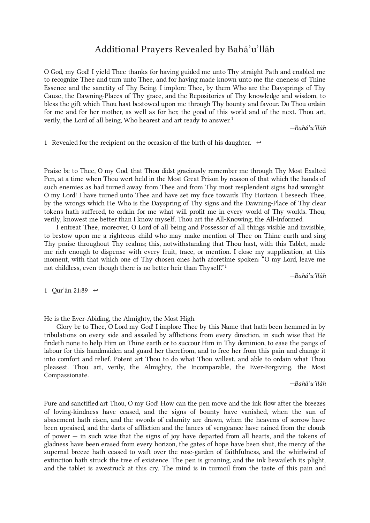# Additional Prayers Revealed by Bahá'u'lláh

<span id="page-0-1"></span>O God, my God! I yield Thee thanks for having guided me unto Thy straight Path and enabled me to recognize Thee and turn unto Thee, and for having made known unto me the oneness of Thine Essence and the sanctity of Thy Being. I implore Thee, by them Who are the Daysprings of Thy Cause, the Dawning-Places of Thy grace, and the Repositories of Thy knowledge and wisdom, to bless the gift which Thou hast bestowed upon me through Thy bounty and favour. Do Thou ordain for me and for her mother, as well as for her, the good of this world and of the next. Thou art, verily, the Lord of all being, Who hearest and art ready to answer. [1](#page-0-0)

—Bahá'u'lláh

<span id="page-0-0"></span>1 Revealed for the recipient on the occasion of the birth of his daughter.  $\leftrightarrow$ 

Praise be to Thee, O my God, that Thou didst graciously remember me through Thy Most Exalted Pen, at a time when Thou wert held in the Most Great Prison by reason of that which the hands of such enemies as had turned away from Thee and from Thy most resplendent signs had wrought. O my Lord! I have turned unto Thee and have set my face towards Thy Horizon. I beseech Thee, by the wrongs which He Who is the Dayspring of Thy signs and the Dawning-Place of Thy clear tokens hath suffered, to ordain for me what will profit me in every world of Thy worlds. Thou, verily, knowest me better than I know myself. Thou art the All-Knowing, the All-Informed.

<span id="page-0-3"></span>I entreat Thee, moreover, O Lord of all being and Possessor of all things visible and invisible, to bestow upon me a righteous child who may make mention of Thee on Thine earth and sing Thy praise throughout Thy realms; this, notwithstanding that Thou hast, with this Tablet, made me rich enough to dispense with every fruit, trace, or mention. I close my supplication, at this moment, with that which one of Thy chosen ones hath aforetime spoken: "O my Lord, leave me not childless, even though there is no better heir than Thyself." [1](#page-0-2)

—Bahá'u'lláh

<span id="page-0-2"></span> $1 \quad \text{Qur'án } 21:89 \quad \leftrightarrow$ 

He is the Ever-Abiding, the Almighty, the Most High.

Glory be to Thee, O Lord my God! I implore Thee by this Name that hath been hemmed in by tribulations on every side and assailed by afflictions from every direction, in such wise that He findeth none to help Him on Thine earth or to succour Him in Thy dominion, to ease the pangs of labour for this handmaiden and guard her therefrom, and to free her from this pain and change it into comfort and relief. Potent art Thou to do what Thou willest, and able to ordain what Thou pleasest. Thou art, verily, the Almighty, the Incomparable, the Ever-Forgiving, the Most Compassionate.

—Bahá'u'lláh

Pure and sanctified art Thou, O my God! How can the pen move and the ink flow after the breezes of loving-kindness have ceased, and the signs of bounty have vanished, when the sun of abasement hath risen, and the swords of calamity are drawn, when the heavens of sorrow have been upraised, and the darts of affliction and the lances of vengeance have rained from the clouds of power — in such wise that the signs of joy have departed from all hearts, and the tokens of gladness have been erased from every horizon, the gates of hope have been shut, the mercy of the supernal breeze hath ceased to waft over the rose-garden of faithfulness, and the whirlwind of extinction hath struck the tree of existence. The pen is groaning, and the ink bewaileth its plight, and the tablet is awestruck at this cry. The mind is in turmoil from the taste of this pain and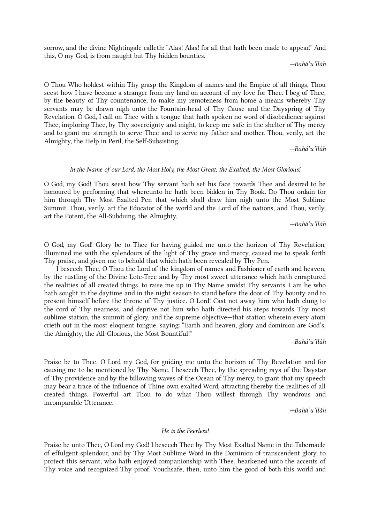sorrow, and the divine Nightingale calleth: "Alas! Alas! for all that hath been made to appear." And this, O my God, is from naught but Thy hidden bounties.

—Bahá'u'lláh

O Thou Who holdest within Thy grasp the Kingdom of names and the Empire of all things, Thou seest how I have become a stranger from my land on account of my love for Thee. I beg of Thee, by the beauty of Thy countenance, to make my remoteness from home a means whereby Thy servants may be drawn nigh unto the Fountain-head of Thy Cause and the Dayspring of Thy Revelation. O God, I call on Thee with a tongue that hath spoken no word of disobedience against Thee, imploring Thee, by Thy sovereignty and might, to keep me safe in the shelter of Thy mercy and to grant me strength to serve Thee and to serve my father and mother. Thou, verily, art the Almighty, the Help in Peril, the Self-Subsisting.

—Bahá'u'lláh

## In the Name of our Lord, the Most Holy, the Most Great, the Exalted, the Most Glorious!

O God, my God! Thou seest how Thy servant hath set his face towards Thee and desired to be honoured by performing that whereunto he hath been bidden in Thy Book. Do Thou ordain for him through Thy Most Exalted Pen that which shall draw him nigh unto the Most Sublime Summit. Thou, verily, art the Educator of the world and the Lord of the nations, and Thou, verily, art the Potent, the All-Subduing, the Almighty.

—Bahá'u'lláh

O God, my God! Glory be to Thee for having guided me unto the horizon of Thy Revelation, illumined me with the splendours of the light of Thy grace and mercy, caused me to speak forth Thy praise, and given me to behold that which hath been revealed by Thy Pen.

I beseech Thee, O Thou the Lord of the kingdom of names and Fashioner of earth and heaven, by the rustling of the Divine Lote-Tree and by Thy most sweet utterance which hath enraptured the realities of all created things, to raise me up in Thy Name amidst Thy servants. I am he who hath sought in the daytime and in the night season to stand before the door of Thy bounty and to present himself before the throne of Thy justice. O Lord! Cast not away him who hath clung to the cord of Thy nearness, and deprive not him who hath directed his steps towards Thy most sublime station, the summit of glory, and the supreme objective—that station wherein every atom crieth out in the most eloquent tongue, saying: "Earth and heaven, glory and dominion are God's, the Almighty, the All-Glorious, the Most Bountiful!"

—Bahá'u'lláh

Praise be to Thee, O Lord my God, for guiding me unto the horizon of Thy Revelation and for causing me to be mentioned by Thy Name. I beseech Thee, by the spreading rays of the Daystar of Thy providence and by the billowing waves of the Ocean of Thy mercy, to grant that my speech may bear a trace of the influence of Thine own exalted Word, attracting thereby the realities of all created things. Powerful art Thou to do what Thou willest through Thy wondrous and incomparable Utterance.

—Bahá'u'lláh

## He is the Peerless!

Praise be unto Thee, O Lord my God! I beseech Thee by Thy Most Exalted Name in the Tabernacle of effulgent splendour, and by Thy Most Sublime Word in the Dominion of transcendent glory, to protect this servant, who hath enjoyed companionship with Thee, hearkened unto the accents of Thy voice and recognized Thy proof. Vouchsafe, then, unto him the good of both this world and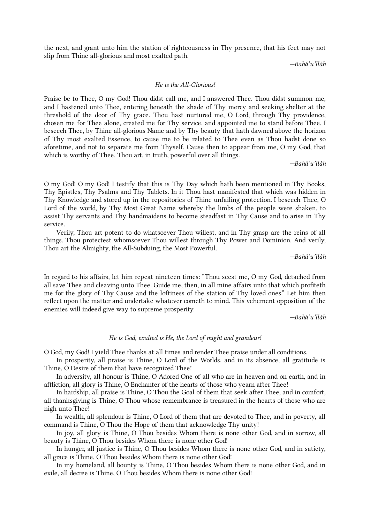the next, and grant unto him the station of righteousness in Thy presence, that his feet may not slip from Thine all-glorious and most exalted path.

—Bahá'u'lláh

#### He is the All-Glorious!

Praise be to Thee, O my God! Thou didst call me, and I answered Thee. Thou didst summon me, and I hastened unto Thee, entering beneath the shade of Thy mercy and seeking shelter at the threshold of the door of Thy grace. Thou hast nurtured me, O Lord, through Thy providence, chosen me for Thee alone, created me for Thy service, and appointed me to stand before Thee. I beseech Thee, by Thine all-glorious Name and by Thy beauty that hath dawned above the horizon of Thy most exalted Essence, to cause me to be related to Thee even as Thou hadst done so aforetime, and not to separate me from Thyself. Cause then to appear from me, O my God, that which is worthy of Thee. Thou art, in truth, powerful over all things.

—Bahá'u'lláh

O my God! O my God! I testify that this is Thy Day which hath been mentioned in Thy Books, Thy Epistles, Thy Psalms and Thy Tablets. In it Thou hast manifested that which was hidden in Thy Knowledge and stored up in the repositories of Thine unfailing protection. I beseech Thee, O Lord of the world, by Thy Most Great Name whereby the limbs of the people were shaken, to assist Thy servants and Thy handmaidens to become steadfast in Thy Cause and to arise in Thy service.

Verily, Thou art potent to do whatsoever Thou willest, and in Thy grasp are the reins of all things. Thou protectest whomsoever Thou willest through Thy Power and Dominion. And verily, Thou art the Almighty, the All-Subduing, the Most Powerful.

—Bahá'u'lláh

In regard to his affairs, let him repeat nineteen times: "Thou seest me, O my God, detached from all save Thee and cleaving unto Thee. Guide me, then, in all mine affairs unto that which profiteth me for the glory of Thy Cause and the loftiness of the station of Thy loved ones." Let him then reflect upon the matter and undertake whatever cometh to mind. This vehement opposition of the enemies will indeed give way to supreme prosperity.

—Bahá'u'lláh

#### He is God, exalted is He, the Lord of might and grandeur!

O God, my God! I yield Thee thanks at all times and render Thee praise under all conditions.

In prosperity, all praise is Thine, O Lord of the Worlds, and in its absence, all gratitude is Thine, O Desire of them that have recognized Thee!

In adversity, all honour is Thine, O Adored One of all who are in heaven and on earth, and in affliction, all glory is Thine, O Enchanter of the hearts of those who yearn after Thee!

In hardship, all praise is Thine, O Thou the Goal of them that seek after Thee, and in comfort, all thanksgiving is Thine, O Thou whose remembrance is treasured in the hearts of those who are nigh unto Thee!

In wealth, all splendour is Thine, O Lord of them that are devoted to Thee, and in poverty, all command is Thine, O Thou the Hope of them that acknowledge Thy unity!

In joy, all glory is Thine, O Thou besides Whom there is none other God, and in sorrow, all beauty is Thine, O Thou besides Whom there is none other God!

In hunger, all justice is Thine, O Thou besides Whom there is none other God, and in satiety, all grace is Thine, O Thou besides Whom there is none other God!

In my homeland, all bounty is Thine, O Thou besides Whom there is none other God, and in exile, all decree is Thine, O Thou besides Whom there is none other God!